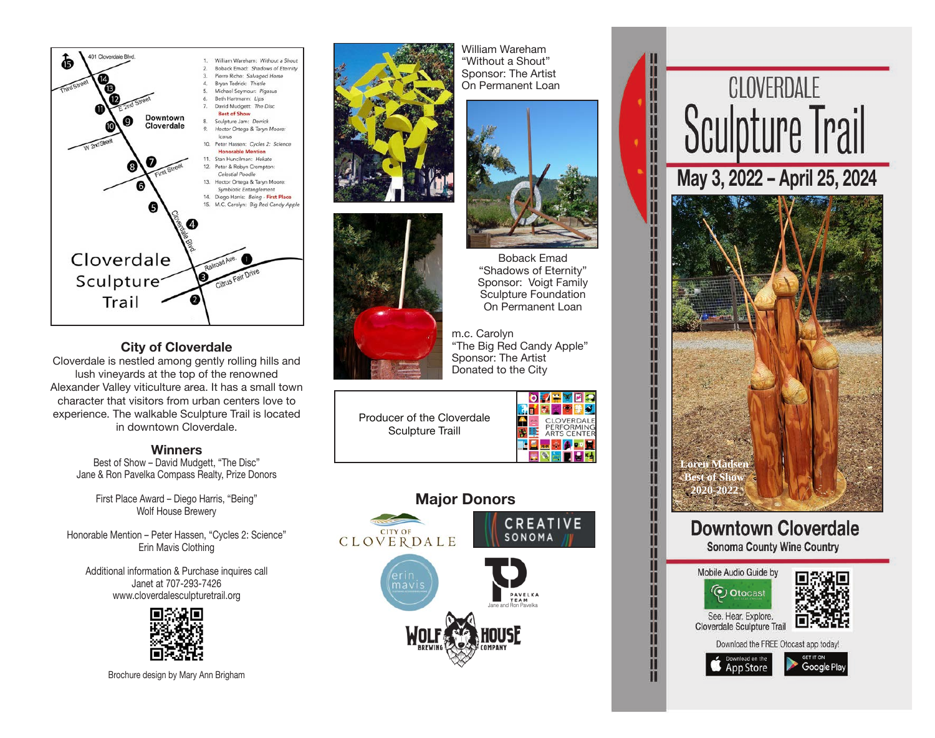

## **City of Cloverdale**

Cloverdale is nestled among gently rolling hills and lush vineyards at the top of the renowned Alexander Valley viticulture area. It has a small town character that visitors from urban centers love to experience. The walkable Sculpture Trail is located in downtown Cloverdale.

## **Winners**

Best of Show – David Mudgett, "The Disc" Jane & Ron Pavelka Compass Realty, Prize Donors

> First Place Award – Diego Harris, "Being" Wolf House Brewery

Honorable Mention – Peter Hassen, "Cycles 2: Science" Erin Mavis Clothing

Additional information & Purchase inquires call Janet at 707-293-7426 www.cloverdalesculpturetrail.org



Brochure design by Mary Ann Brigham





On Permanent Loan m.c. Carolyn "The Big Red Candy Apple" Sponsor: The Artist Donated to the City

William Wareham "Without a Shout" Sponsor: The Artist On Permanent Loan

> Boback Emad "Shadows of Eternity" Sponsor: Voigt Family Sculpture Foundation

Producer of the Cloverdale Sculpture Traill